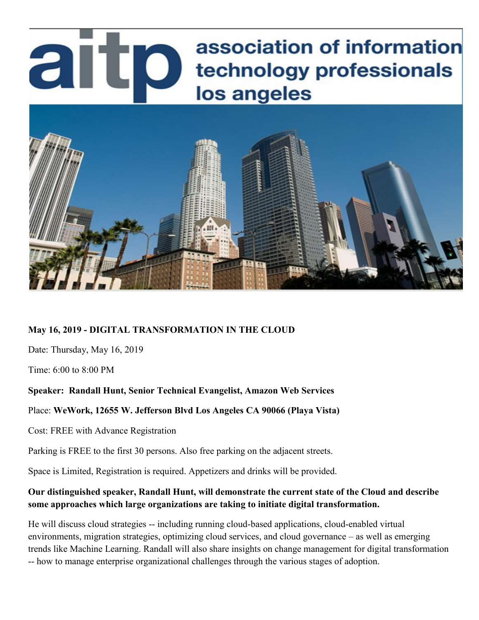# association of information artp technology professionals los angeles



# **May 16, 2019 - DIGITAL TRANSFORMATION IN THE CLOUD**

Date: Thursday, May 16, 2019

Time: 6:00 to 8:00 PM

# **Speaker: Randall Hunt, Senior Technical Evangelist, Amazon Web Services**

#### Place: **WeWork, 12655 W. Jefferson Blvd Los Angeles CA 90066 (Playa Vista)**

Cost: FREE with Advance Registration

Parking is FREE to the first 30 persons. Also free parking on the adjacent streets.

Space is Limited, Registration is required. Appetizers and drinks will be provided.

# **Our distinguished speaker, Randall Hunt, will demonstrate the current state of the Cloud and describe some approaches which large organizations are taking to initiate digital transformation.**

He will discuss cloud strategies -- including running cloud-based applications, cloud-enabled virtual environments, migration strategies, optimizing cloud services, and cloud governance – as well as emerging trends like Machine Learning. Randall will also share insights on change management for digital transformation -- how to manage enterprise organizational challenges through the various stages of adoption.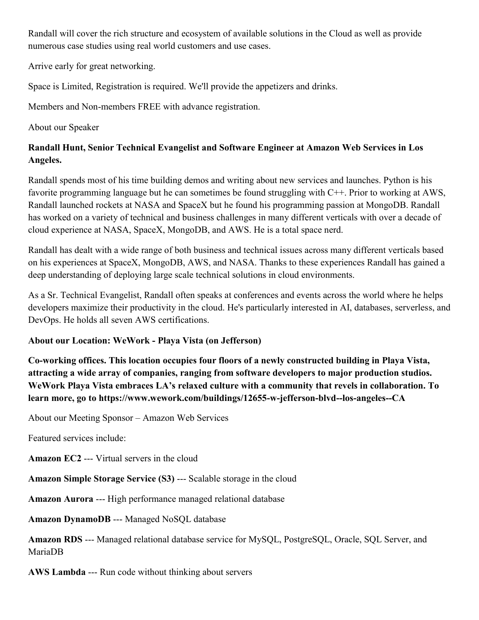Randall will cover the rich structure and ecosystem of available solutions in the Cloud as well as provide numerous case studies using real world customers and use cases.

Arrive early for great networking.

Space is Limited, Registration is required. We'll provide the appetizers and drinks.

Members and Non-members FREE with advance registration.

About our Speaker

# **Randall Hunt, Senior Technical Evangelist and Software Engineer at Amazon Web Services in Los Angeles.**

Randall spends most of his time building demos and writing about new services and launches. Python is his favorite programming language but he can sometimes be found struggling with C++. Prior to working at AWS, Randall launched rockets at NASA and SpaceX but he found his programming passion at MongoDB. Randall has worked on a variety of technical and business challenges in many different verticals with over a decade of cloud experience at NASA, SpaceX, MongoDB, and AWS. He is a total space nerd.

Randall has dealt with a wide range of both business and technical issues across many different verticals based on his experiences at SpaceX, MongoDB, AWS, and NASA. Thanks to these experiences Randall has gained a deep understanding of deploying large scale technical solutions in cloud environments.

As a Sr. Technical Evangelist, Randall often speaks at conferences and events across the world where he helps developers maximize their productivity in the cloud. He's particularly interested in AI, databases, serverless, and DevOps. He holds all seven AWS certifications.

# **About our Location: WeWork - Playa Vista (on Jefferson)**

**Co-working offices. This location occupies four floors of a newly constructed building in Playa Vista, attracting a wide array of companies, ranging from software developers to major production studios. WeWork Playa Vista embraces LA's relaxed culture with a community that revels in collaboration. To learn more, go to https://www.wework.com/buildings/12655-w-jefferson-blvd--los-angeles--CA**

About our Meeting Sponsor – Amazon Web Services

Featured services include:

**Amazon EC2** --- Virtual servers in the cloud

**Amazon Simple Storage Service (S3)** --- Scalable storage in the cloud

**Amazon Aurora** --- High performance managed relational database

**Amazon DynamoDB** --- Managed NoSQL database

**Amazon RDS** --- Managed relational database service for MySQL, PostgreSQL, Oracle, SQL Server, and MariaDB

**AWS Lambda** --- Run code without thinking about servers